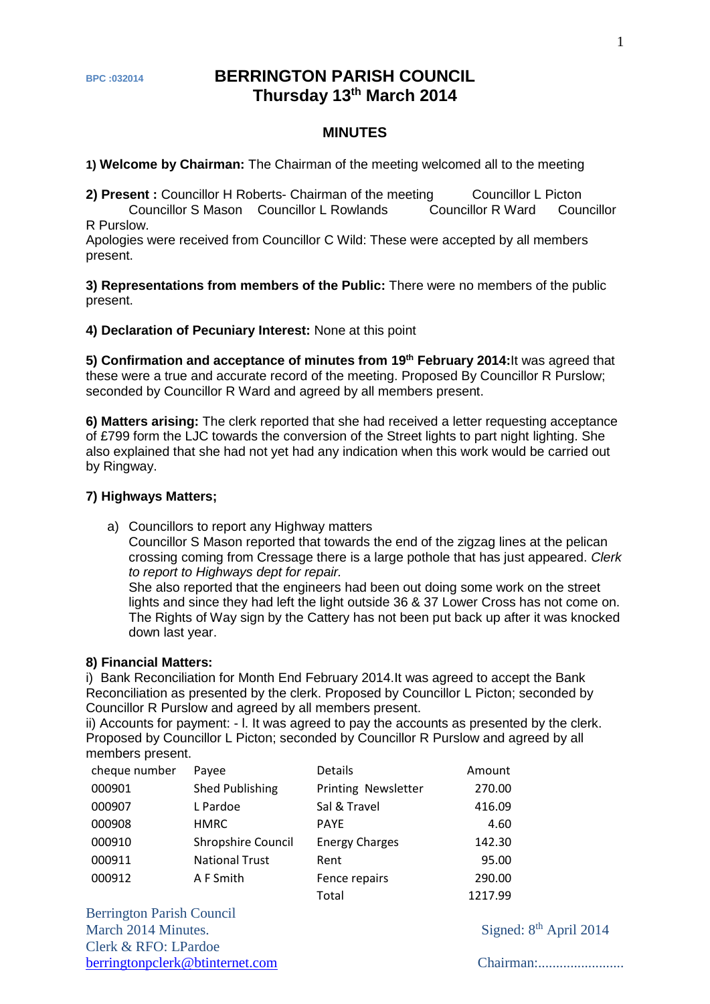# **BPC:032014 BERRINGTON PARISH COUNCIL Thursday 13th March 2014**

#### **MINUTES**

**1) Welcome by Chairman:** The Chairman of the meeting welcomed all to the meeting

**2) Present** : Councillor H Roberts- Chairman of the meeting Councillor L Picton Councillor S Mason Councillor L Rowlands Councillor R Ward Councillor R Purslow.

Apologies were received from Councillor C Wild: These were accepted by all members present.

**3) Representations from members of the Public:** There were no members of the public present.

**4) Declaration of Pecuniary Interest:** None at this point

5) Confirmation and acceptance of minutes from 19<sup>th</sup> February 2014:It was agreed that these were a true and accurate record of the meeting. Proposed By Councillor R Purslow; seconded by Councillor R Ward and agreed by all members present.

**6) Matters arising:** The clerk reported that she had received a letter requesting acceptance of £799 form the LJC towards the conversion of the Street lights to part night lighting. She also explained that she had not yet had any indication when this work would be carried out by Ringway.

#### **7) Highways Matters;**

a) Councillors to report any Highway matters

Councillor S Mason reported that towards the end of the zigzag lines at the pelican crossing coming from Cressage there is a large pothole that has just appeared. *Clerk to report to Highways dept for repair.*

She also reported that the engineers had been out doing some work on the street lights and since they had left the light outside 36 & 37 Lower Cross has not come on. The Rights of Way sign by the Cattery has not been put back up after it was knocked down last year.

#### **8) Financial Matters:**

i) Bank Reconciliation for Month End February 2014.It was agreed to accept the Bank Reconciliation as presented by the clerk. Proposed by Councillor L Picton; seconded by Councillor R Purslow and agreed by all members present.

ii) Accounts for payment: - l. It was agreed to pay the accounts as presented by the clerk. Proposed by Councillor L Picton; seconded by Councillor R Purslow and agreed by all members present.

| cheque number | Payee                     | <b>Details</b>        | Amount  |
|---------------|---------------------------|-----------------------|---------|
| 000901        | Shed Publishing           | Printing Newsletter   | 270.00  |
| 000907        | L Pardoe                  | Sal & Travel          | 416.09  |
| 000908        | <b>HMRC</b>               | <b>PAYE</b>           | 4.60    |
| 000910        | <b>Shropshire Council</b> | <b>Energy Charges</b> | 142.30  |
| 000911        | <b>National Trust</b>     | Rent                  | 95.00   |
| 000912        | A F Smith                 | Fence repairs         | 290.00  |
|               |                           | Total                 | 1217.99 |

Berrington Parish Council March 2014 Minutes. Signed: 8<sup>th</sup> April 2014 Clerk & RFO: LPardoe [berringtonpclerk@btinternet.com](mailto:berringtonpclerk@btinternet.com) Chairman:........................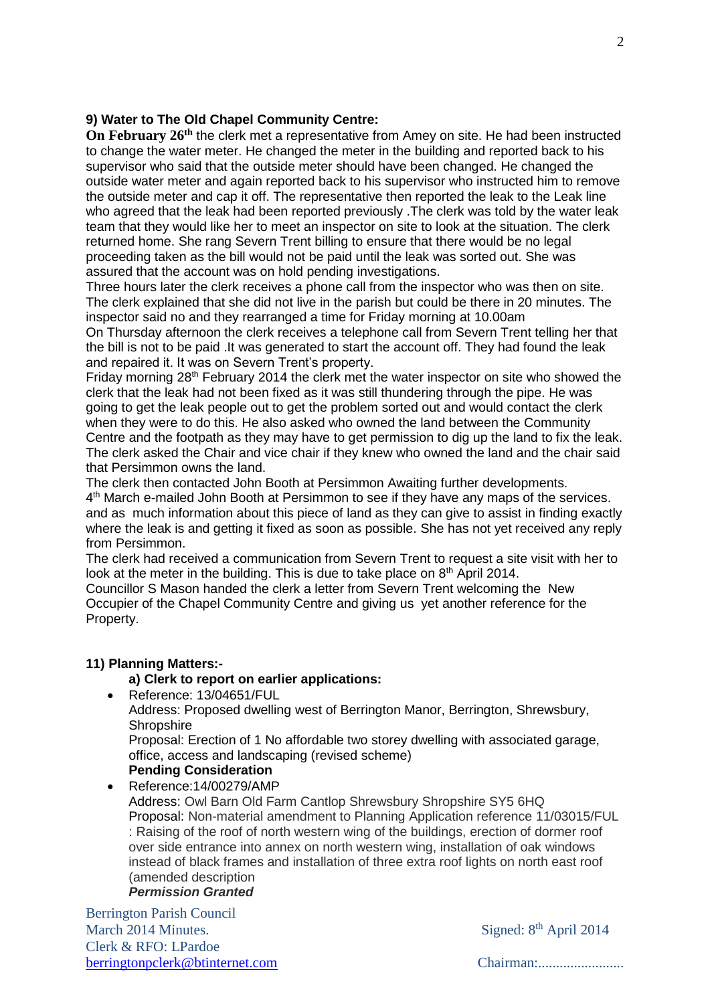## **9) Water to The Old Chapel Community Centre:**

**On February 26th** the clerk met a representative from Amey on site. He had been instructed to change the water meter. He changed the meter in the building and reported back to his supervisor who said that the outside meter should have been changed. He changed the outside water meter and again reported back to his supervisor who instructed him to remove the outside meter and cap it off. The representative then reported the leak to the Leak line who agreed that the leak had been reported previously .The clerk was told by the water leak team that they would like her to meet an inspector on site to look at the situation. The clerk returned home. She rang Severn Trent billing to ensure that there would be no legal proceeding taken as the bill would not be paid until the leak was sorted out. She was assured that the account was on hold pending investigations.

Three hours later the clerk receives a phone call from the inspector who was then on site. The clerk explained that she did not live in the parish but could be there in 20 minutes. The inspector said no and they rearranged a time for Friday morning at 10.00am

On Thursday afternoon the clerk receives a telephone call from Severn Trent telling her that the bill is not to be paid .It was generated to start the account off. They had found the leak and repaired it. It was on Severn Trent's property.

Friday morning 28th February 2014 the clerk met the water inspector on site who showed the clerk that the leak had not been fixed as it was still thundering through the pipe. He was going to get the leak people out to get the problem sorted out and would contact the clerk when they were to do this. He also asked who owned the land between the Community Centre and the footpath as they may have to get permission to dig up the land to fix the leak. The clerk asked the Chair and vice chair if they knew who owned the land and the chair said that Persimmon owns the land.

The clerk then contacted John Booth at Persimmon Awaiting further developments. 4<sup>th</sup> March e-mailed John Booth at Persimmon to see if they have any maps of the services. and as much information about this piece of land as they can give to assist in finding exactly where the leak is and getting it fixed as soon as possible. She has not yet received any reply from Persimmon.

The clerk had received a communication from Severn Trent to request a site visit with her to look at the meter in the building. This is due to take place on 8<sup>th</sup> April 2014.

Councillor S Mason handed the clerk a letter from Severn Trent welcoming the New Occupier of the Chapel Community Centre and giving us yet another reference for the Property.

## **11) Planning Matters:-**

## **a) Clerk to report on earlier applications:**

Reference: 13/04651/FUL

Address: Proposed dwelling west of Berrington Manor, Berrington, Shrewsbury, **Shropshire** 

Proposal: Erection of 1 No affordable two storey dwelling with associated garage, office, access and landscaping (revised scheme)

**Pending Consideration** • Reference: 14/00279/AMP Address: Owl Barn Old Farm Cantlop Shrewsbury Shropshire SY5 6HQ Proposal: Non-material amendment to Planning Application reference 11/03015/FUL : Raising of the roof of north western wing of the buildings, erection of dormer roof over side entrance into annex on north western wing, installation of oak windows instead of black frames and installation of three extra roof lights on north east roof (amended description *Permission Granted*

Berrington Parish Council March 2014 Minutes. Signed: 8<sup>th</sup> April 2014 Clerk & RFO: LPardoe [berringtonpclerk@btinternet.com](mailto:berringtonpclerk@btinternet.com) Chairman:........................